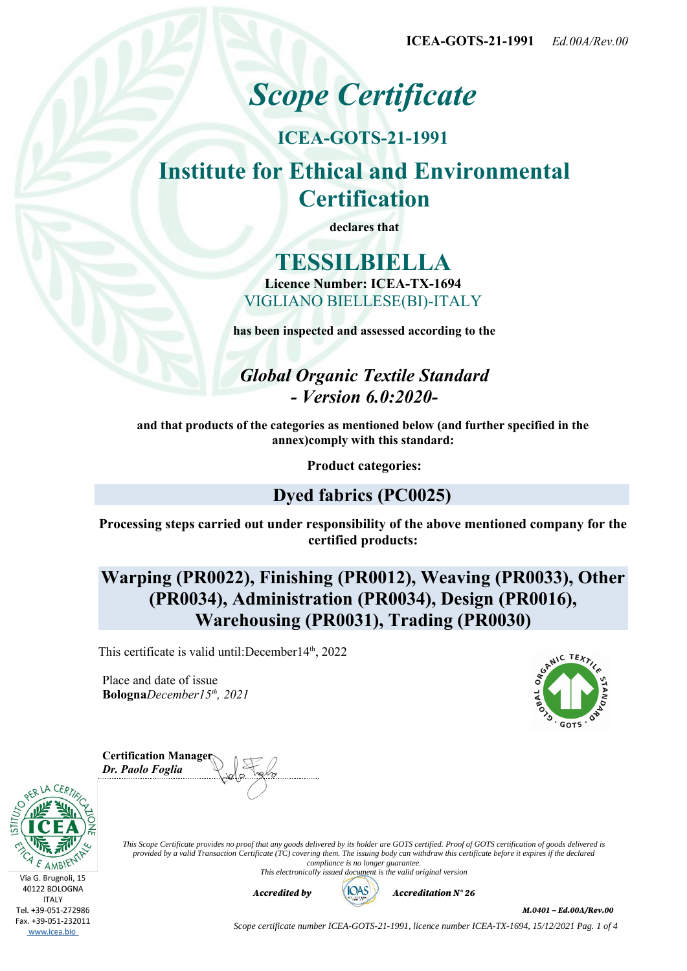**ICEA-GOTS-21-1991** *Ed.00A/Rev.00*

# *Scope Certificate*

## **ICEA-GOTS-21-1991 Institute for Ethical and Environmental Certification**

**declares that**

## **TESSILBIELLA Licence Number: ICEA-TX-1694**

VIGLIANO BIELLESE(BI)-ITALY

**has been inspected and assessed according to the**

## *Global Organic Textile Standard - Version 6.0:2020-*

**and that products of the categories as mentioned below (and further specified in the annex)comply with this standard:**

**Product categories:**

### **Dyed fabrics (PC0025)**

**Processing steps carried out under responsibility of the above mentioned company for the certified products:**

## **Warping (PR0022), Finishing (PR0012), Weaving (PR0033), Other (PR0034), Administration (PR0034), Design (PR0016), Warehousing (PR0031), Trading (PR0030)**

This certificate is valid until:December14<sup>th</sup>, 2022

Place and date of issue **Bologna***December15th, 2021*



| <b>Certification Manager</b><br>Dr. Paolo Foglia |  |
|--------------------------------------------------|--|
|                                                  |  |



*This Scope Certificate provides no proof that any goods delivered by its holder are GOTS certified. Proof of GOTS certification of goods delivered is provided by a valid Transaction Certificate (TC) covering them. The issuing body can withdraw this certificate before it expires if the declared compliance is no longer guarantee.*

*This electronically issued document is the valid original version*



*Accredited by Accreditation N° 26*

*M.0401 – Ed.00A/Rev.00*

*Scope certificate number ICEA-GOTS-21-1991, licence number ICEA-TX-1694, 15/12/2021 Pag. 1 of 4*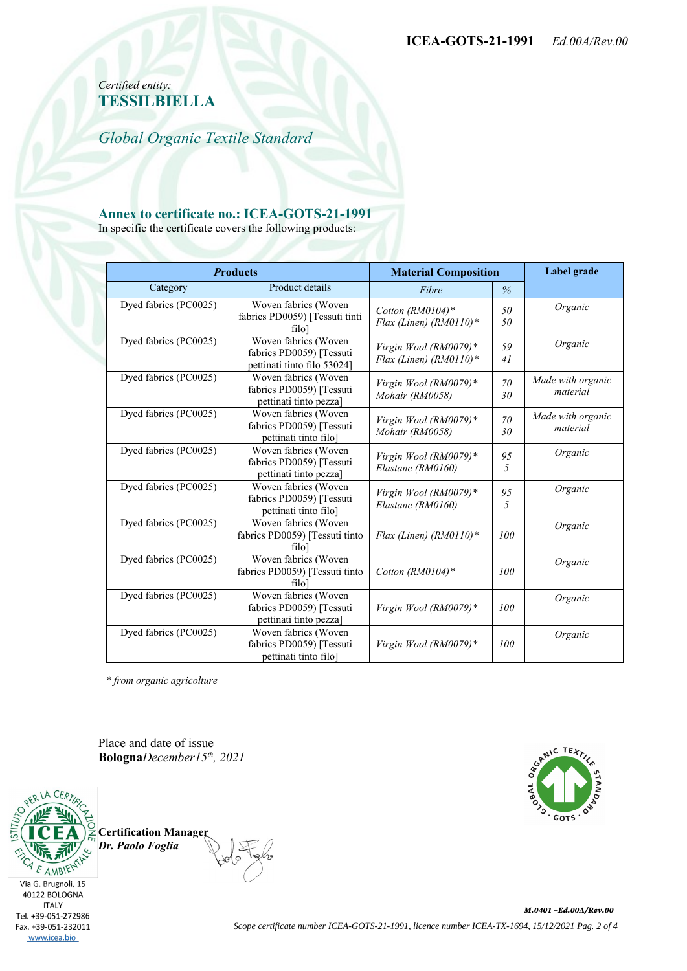*Certified entity:* **TESSILBIELLA**

*Global Organic Textile Standard*

#### **Annex to certificate no.: ICEA-GOTS-21-1991**

In specific the certificate covers the following products:

| <b>Products</b>       |                                                                                 | <b>Material Composition</b>                     |          | Label grade                   |
|-----------------------|---------------------------------------------------------------------------------|-------------------------------------------------|----------|-------------------------------|
| Category              | Product details                                                                 | Fibre                                           | $\%$     |                               |
| Dyed fabrics (PC0025) | Woven fabrics (Woven<br>fabrics PD0059) [Tessuti tinti<br>filo <sup>1</sup>     | Cotton $(RM0104)*$<br>Flax (Linen) (RM0110)*    | 50<br>50 | Organic                       |
| Dyed fabrics (PC0025) | Woven fabrics (Woven<br>fabrics PD0059) [Tessuti<br>pettinati tinto filo 53024] | Virgin Wool (RM0079)*<br>Flax (Linen) (RM0110)* | 59<br>41 | Organic                       |
| Dyed fabrics (PC0025) | Woven fabrics (Woven<br>fabrics PD0059) [Tessuti<br>pettinati tinto pezza]      | Virgin Wool (RM0079)*<br>Mohair (RM0058)        | 70<br>30 | Made with organic<br>material |
| Dyed fabrics (PC0025) | Woven fabrics (Woven<br>fabrics PD0059) [Tessuti<br>pettinati tinto filo]       | Virgin Wool (RM0079)*<br>Mohair (RM0058)        | 70<br>30 | Made with organic<br>material |
| Dyed fabrics (PC0025) | Woven fabrics (Woven<br>fabrics PD0059) [Tessuti<br>pettinati tinto pezza]      | Virgin Wool (RM0079)*<br>Elastane (RM0160)      | 95<br>5  | Organic                       |
| Dyed fabrics (PC0025) | Woven fabrics (Woven<br>fabrics PD0059) [Tessuti<br>pettinati tinto filo]       | Virgin Wool (RM0079)*<br>Elastane (RM0160)      | 95<br>5  | Organic                       |
| Dyed fabrics (PC0025) | Woven fabrics (Woven<br>fabrics PD0059) [Tessuti tinto<br>filo <sup>1</sup>     | Flax (Linen) (RM0110)*                          | 100      | Organic                       |
| Dyed fabrics (PC0025) | Woven fabrics (Woven<br>fabrics PD0059) [Tessuti tinto<br>filo                  | Cotton (RM0104)*                                | 100      | Organic                       |
| Dyed fabrics (PC0025) | Woven fabrics (Woven<br>fabrics PD0059) [Tessuti<br>pettinati tinto pezza]      | Virgin Wool (RM0079)*                           | 100      | Organic                       |
| Dyed fabrics (PC0025) | Woven fabrics (Woven<br>fabrics PD0059) [Tessuti<br>pettinati tinto filo]       | Virgin Wool (RM0079)*                           | 100      | Organic                       |

 *\* from organic agricolture*

Place and date of issue **Bologna***December15th, 2021*



**Certification Manager** *Dr. Paolo Foglia*

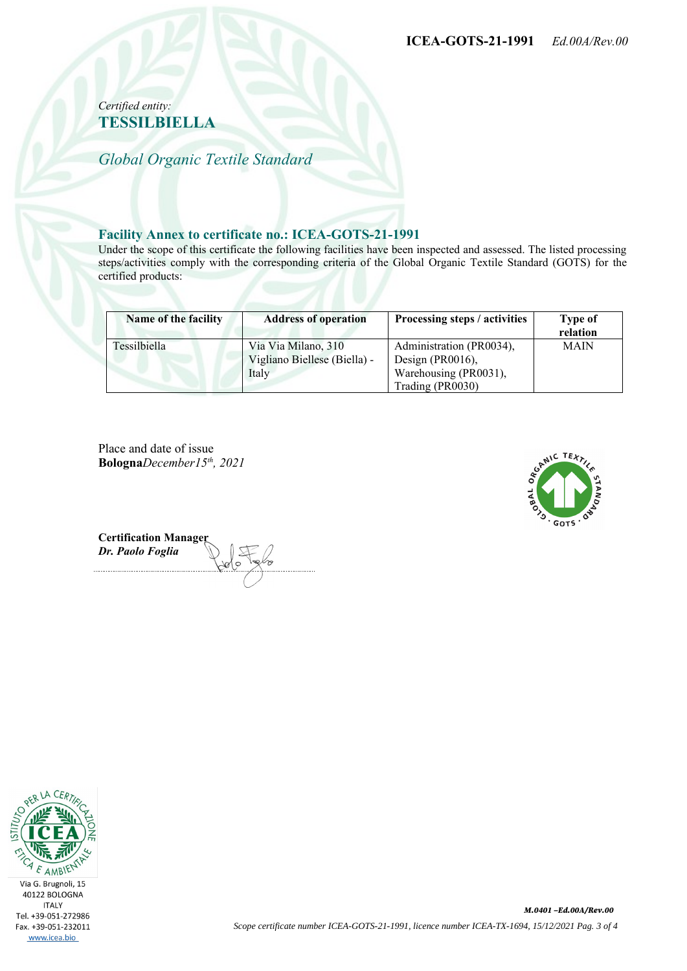#### *Certified entity:* **TESSILBIELLA**

*Global Organic Textile Standard*

#### **Facility Annex to certificate no.: ICEA-GOTS-21-1991**

Under the scope of this certificate the following facilities have been inspected and assessed. The listed processing steps/activities comply with the corresponding criteria of the Global Organic Textile Standard (GOTS) for the certified products:

| Name of the facility | <b>Address of operation</b>                                  | Processing steps / activities                                                             | <b>Type of</b><br>relation |
|----------------------|--------------------------------------------------------------|-------------------------------------------------------------------------------------------|----------------------------|
| Tessilbiella         | Via Via Milano, 310<br>Vigliano Biellese (Biella) -<br>Italy | Administration (PR0034),<br>Design (PR0016),<br>Warehousing (PR0031),<br>Trading (PR0030) | <b>MAIN</b>                |

Place and date of issue **Bologna***December15th, 2021*



**Certification Manager** *Dr. Paolo Foglia*